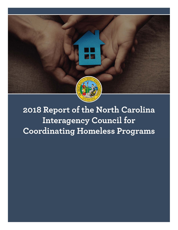

# 2018 Report of the North Carolina **Interagency Council for Coordinating Homeless Programs**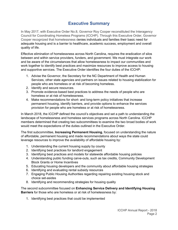## **Executive Summary**

In May 2017, with Executive Order No.8, Governor Roy Cooper reconstituted the Interagency Council for Coordinating Homeless Programs (ICCHP). Through this Executive Order, Governor Cooper recognized that homelessness denies individuals and families their basic need for adequate housing and is a barrier to healthcare, academic success, employment and overall quality of life.

Effective elimination of homelessness across North Carolina, requires the eradication of silos between and within service providers, funders, and government. We must integrate our work and be aware of the circumstances that allow homelessness to impact our communities and work together to identify best practices and maximize resources to improve access to housing and supportive services. The Executive Order identifies the four duties of the ICCHP:

- 1. Advise the Governor, the Secretary for the NC Department of Health and Human Services, other state agencies and partners on issues related to housing stabilization for people who are homeless or at risk of becoming homeless.
- 2. Identify and secure resources.
- 3. Promote evidence-based best practices to address the needs of people who are homeless or at risk of homelessness.
- 4. Make recommendations for short- and long-term policy initiatives that increase permanent housing, identify barriers, and provide options to enhance the services provision for people who are homeless or at risk of homelessness.

In March 2018, the ICCHP defined the council's objectives and set a path to understanding the landscape of homelessness and homeless services programs across North Carolina. ICCHP members determined that creating two subcommittees to examine the two broad bodies of work would meet the expectations of the duties outlined in the Executive Order.

The first subcommittee, **Increasing Permanent Housing**, focused on understanding the nature of affordable, permanent housing and made recommendations about ways the state could leverage resources to improve the availability of affordable housing by:

- 1. Understanding the current housing supply by county
- 2. Identifying best practices for landlord engagement
- 3. Identifying best practices and models for statewide affordable housing policies
- 4. Understanding public funding carve-outs, such as tax credits, Community Development Block Grants or Home Incentives
- 5. Educating housing developers and the community about affordable housing strategies
- 6. Identifying and evaluating rental subsidy resources
- 7. Engaging Public Housing Authorities regarding repairing existing housing stock and choice set-asides
- 8. Identifying and recommending strategies for housing quality

The second subcommittee focused on **Enhancing Service Delivery and Identifying Housing Barriers** for those who are homeless or at risk of homelessness by:

1. Identifying best practices that could be implemented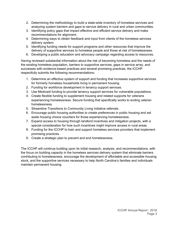- 2. Determining the methodology to build a state-wide inventory of homeless services and analyzing system barriers and gaps to service delivery in rural and urban communities.
- 3. Identifying policy gaps that impact effective and efficient service delivery and make recommendations for alignment.
- 4. Determining ways to obtain feedback and input from clients of the homeless services delivery system.
- 5. Identifying funding needs for support programs and other resources that improve the delivery of supportive services to homeless people and those at risk of homelessness.
- 6. Developing a public education and advocacy campaign regarding access to resources.

Having reviewed substantial information about the risk of becoming homeless and the needs of the existing homeless population, barriers to supportive services, gaps in service array, and successes with evidence-based practices and several promising practices, the ICCHP respectfully submits the following recommendations:

- 1. Determine an effective system of support and funding that increases supportive services for formerly homeless households living in permanent housing.
- 2. Funding for workforce development in tenancy support services.
- 3. Use Medicaid funding to provide tenancy support services for vulnerable populations.
- 4. Create flexible funding to supplement housing and related supports for veterans experiencing homelessness. Secure funding that specifically works to ending veteran homelessness.
- 5. Streamline Transitions to Community Living Initiative referrals.
- 6. Encourage public housing authorities to create preferences in public housing and set aside housing choice vouchers for those experiencing homelessness.
- 7. Expand access to housing through landlord incentives and mitigation projects, with a special consideration for how such incentives might improve access in rural areas.
- 8. Funding for the ICCHP to train and support homeless services providers that implement promising practices.
- 9. Create a strategic plan to prevent and end homelessness.

The ICCHP will continue building upon its initial research, analysis, and recommendations, with the focus on building capacity in the homeless services delivery system that eliminate barriers contributing to homelessness, encourage the development of affordable and accessible housing stock, and the supportive services necessary to help North Carolina's families and individuals maintain permanent housing.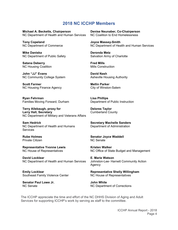## **2018 NC ICCHP Members**

**Michael A. Becketts, Chairperson**  NC Department of Health and Human Services

**Tony Copeland**  NC Department of Commerce

**Mike Daniska**  NC Department of Public Safety

**Satana Deberry**  NC Housing Coalition

**John "JJ" Evans**  NC Community College System

**Scott Farmer**  NC Housing Finance Agency

**Ryan Fehrman**  Families Moving Forward, Durham

**Terry Allebaugh, proxy for Larry Hall, Secretary**  NC Department of Military and Veterans Affairs

**Sam Hedrick**  NC Department of Health and Humans **Services** 

**Rube Holmes**  Private Citizen

**Representative Yvonne Lewis**  NC House of Representatives

**David Locklear**  NC Department of Health and Human Services

**Emily Locklear**  Southeast Family Violence Center

**Senator Paul Lowe Jr.**  NC Senate

**Denise Neunaber, Co-Chairperson**  NC Coalition to End Homelessness

**Joyce Massey-Smith**  NC Department of Health and Human Services

**Deronda Metz**  Salvation Army of Charlotte

**Fred Mills**  Mills Construction

**David Nash**  Asheville Housing Authority

**Mellin Parker** City of Winston-Salem

**Lisa Phillips**  Department of Public Instruction

**Delores Taylor**  Cumberland County

**Secretary Machelle Sanders**  Department of Administration

**Senator Joyce Waddell**  NC Senate

**Kristen Walker**  NC Office of State Budget and Management

**E. Marie Watson**  Johnston-Lee- Harnett Community Action Agency

**Representative Shelly Willingham**  NC House of Representatives

**John White**  NC Department of Corrections

The ICCHP appreciate the time and effort of the NC DHHS Division of Aging and Adult Services for supporting ICCHP's work by serving as staff to the committee.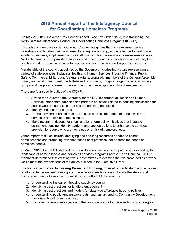## **2018 Annual Report of the Interagency Council for Coordinating Homeless Programs**

On May 26, 2017, Governor Roy Cooper signed Executive Order No. 8, re-establishing the North Carolina Interagency Council for Coordinating Homeless Programs (ICCHP).

Through this Executive Order, Governor Cooper recognizes that homelessness denies individuals and families their basic need for adequate housing, and is a barrier to healthcare, academic success, employment and overall quality of life. To eliminate homelessness across North Carolina, service providers, funders, and government must collaborate and identify best practices and maximize resources to improve access to housing and supportive services.

Membership of the council, appointed by the Governor, includes individuals representing a variety of state agencies, including Health and Human Services, Housing Finance, Public Safety, Commerce, Military and Veterans Affairs, along with members of the General Assembly, county and local government, the faith-based community, non-profit organizations, advocacy groups and people who were homeless. Each member is appointed to a three year term.

There are four specific duties of the ICCHP:

- 1. Advise the Governor, the Secretary for the NC Department of Health and Human Services, other state agencies and partners on issues related to housing stabilization for people who are homeless or at risk of becoming homeless.
- 2. Identify and secure resources.
- 3. Promote evidence-based best practices to address the needs of people who are homeless or at risk of homelessness.
- 4. Make recommendations for short- and long-term policy initiatives that increase permanent housing, identify barriers, and provide options to enhance the services provision for people who are homeless or at risk of homelessness.

Other important duties include identifying and securing resources needed to combat homelessness and promoting evidence-based best practices that address the needs of homeless people.

In March 2018, the ICCHP defined the council's objectives and set a path to understanding the landscape of homelessness and homeless services programs across North Carolina. ICCHP members determined that creating two subcommittees to examine the two broad bodies of work would meet the expectations of the duties outlined in the Executive Order.

The first subcommittee, **Increasing Permanent Housing**, focused on understanding the nature of affordable, permanent housing and made recommendations about ways the state could leverage resources to improve the availability of affordable housing by:

- 1. Understanding the current housing supply by county
- 2. Identifying best practices for landlord engagement
- 3. Identifying best practices and models for statewide affordable housing policies
- 4. Understanding public funding carve-outs, such as tax credits, Community Development Block Grants or Home Incentives
- 5. Educating housing developers and the community about affordable housing strategies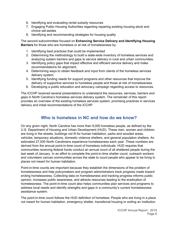- 6. Identifying and evaluating rental subsidy resources
- 7. Engaging Public Housing Authorities regarding repairing existing housing stock and choice set-asides
- 8. Identifying and recommending strategies for housing quality

The second subcommittee focused on **Enhancing Service Delivery and Identifying Housing Barriers** for those who are homeless or at risk of homelessness by:

- 1. Identifying best practices that could be implemented
- 2. Determining the methodology to build a state-wide inventory of homeless services and analyzing system barriers and gaps to service delivery in rural and urban communities.
- 3. Identifying policy gaps that impact effective and efficient service delivery and make recommendations for alignment.
- 4. Determining ways to obtain feedback and input from clients of the homeless services delivery system.
- 5. Identifying funding needs for support programs and other resources that improve the delivery of supportive services to homeless people and those at risk of homelessness.
- 6. Developing a public education and advocacy campaign regarding access to resources.

The ICCHP received several presentations to understand the resources, services, barriers and gaps in North Carolina's homeless services delivery system. The remainder of this report provides an overview of the existing homeless services system, promising practices in services delivery and initial recommendations of the ICCHP.

# **Who is homeless in NC and how do we know?**

On any given night, North Carolina has more than 9,000 homeless people, as defined by the U.S. Department of Housing and Urban Development (HUD). These men, women and children are living in the streets, buildings not fit for human habitation, parks and wooded areas, vehicles, temporary situations, domestic violence shelters, and general population shelters. An estimated 27,000 North Carolinians experience homelessness each year. These numbers are derived from the annual point-in-time count of homeless individuals. HUD requires that communities receiving federal funds conduct an annual count of all sheltered people during the last week of January. In an effort to complete the point-in-time shelter count, outreach workers and volunteers canvas communities across the state to count people who appear to be living in places not meant for human habitation.

Point-in-time counts are important because they establish the dimensions of the problem of homelessness and help policymakers and program administrators track progress made toward ending homelessness. Collecting data on homelessness and tracking progress informs public opinion, increases public awareness, and attracts resources leading to the eradication of homelessness. The point-in-time count also helps communities plan services and programs to address local needs and identify strengths and gaps in a community's current homelessness assistance system.

The point-in-time count follows the HUD definition of homeless: People who are living in a place not meant for human habitation, emergency shelter, transitional housing or exiting an institution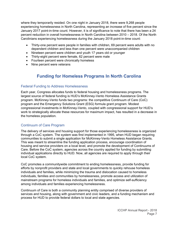where they temporarily resided. On one night in January 2018, there were 9,268 people experiencing homelessness in North Carolina, representing an increase of five percent since the January 2017 point-in-time count. However, it is of significance to note that there has been a 24 percent reduction in overall homelessness in North Carolina between 2010 – 2018. Of the North Carolinians experiencing homelessness during the January 2018 point-in-time count:

- Thirty-one percent were people in families with children, 69 percent were adults with no dependent children and less than one percent were unaccompanied children
- Nineteen percent were children and youth 17 years old or younger
- Thirty-eight percent were female, 62 percent were male
- Fourteen percent were chronically homeless
- Nine percent were veterans

# **Funding for Homeless Programs In North Carolina**

#### Federal Funding to Address Homelessness

Each year, Congress allocates funds to federal housing and homelessness programs. The largest source of federal funding is HUD's McKinney-Vento Homeless Assistance Grants program. McKinney-Vento funds two programs: the competitive Continuum of Care (CoC) program and the Emergency Solutions Grant (ESG) formula grant program. Modest congressional investments in McKinney-Vento, coupled with congressional support for HUD's work to strategically allocate these resources for maximum impact, has resulted in a decrease in the homeless population.

#### Continuum of Care Program

The delivery of services and housing support for those experiencing homelessness is organized through a CoC system. The system was first implemented in 1995, when HUD began requiring communities to submit a single application for McKinney-Vento Homeless Assistance Grants. This was meant to streamline the funding application process, encourage coordination of housing and service providers on a local level, and promote the development of Continuums of Care. Before the CoC system, agencies across the country applied for funding by submitting individual applications directly to HUD. Now, all agencies are required to apply through their local CoC system.

CoC promotes a communitywide commitment to ending homelessness, provide funding for efforts by nonprofit providers and state and local governments to quickly rehouse homeless individuals and families, while minimizing the trauma and dislocation caused to homeless individuals, families and communities by homelessness, promote access and utilization of mainstream programs for homeless individuals and families, and optimize self-sufficiency among individuals and families experiencing homelessness.

Continuum of Care is both a community planning entity comprised of diverse providers of services and housing, along with government and civic leaders, and a funding mechanism and process for HUD to provide federal dollars to local and state agencies.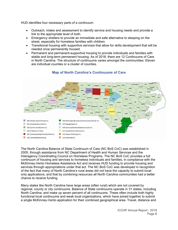HUD identifies four necessary parts of a continuum:

- Outreach, intake and assessment to identify service and housing needs and provide a link to the appropriate level of both.
- Emergency shelters to provide an immediate and safe alternative to sleeping on the street, especially for homeless families with children.
- Transitional housing with supportive services that allow for skills development that will be needed once permanently housed.
- Permanent and permanent-supportive housing to provide individuals and families with stable and long-term permanent housing. As of 2018, there are 12 Continuums of Care in North Carolina. The structure of continuums varies amongst the communities. Eleven are individual counites or a cluster of counties.



#### **Map of North Carolina's Continuums of Care**

The North Carolina Balance of State Continuum of Care (NC BoS CoC) was established in 2005, through assistance from NC Department of Health and Human Services and the Interagency Coordinating Council on Homeless Programs. The NC BoS CoC provides a full continuum of housing and services to homeless individuals and families, in compliance with the McKinney-Vento Homeless Assistance Act and receives HUD funding to provide housing and services through appropriations under that act. The NC BoS CoC was developed in recognition of the fact that many of North Carolina's rural areas did not have the capacity to submit localonly applications, and that by combining resources all North Carolina communities had a better chance to receive funding.

Many states like North Carolina have large areas (often rural) which are not covered by regional, county or city continuums. Balance of State continuums operate in 31 states, including North Carolina, and make up seven percent of all continuums. These often include both highly functional local continuums and weak local organizations, which have joined together to submit a single McKinney-Vento application for their combined geographical area. Travel, distance and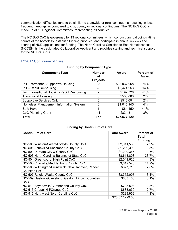communication difficulties tend to be similar to statewide or rural continuums, resulting in less frequent meetings as compared to city, county or regional continuums. The NC BoS CoC is made up of 13 Regional Committees, representing 79 counties.

The NC BoS CoC is goverened by 13 regional committees, which conducti annual point-in-time counts of the homeless, establish funding priorities, and participate in annual reviews and scoring of HUD applications for funding. The North Carolina Coalition to End Homelessness (NCCEH) is the designated Collaborative Applicant and provides staffing and technical support for the NC BoS CoC.

#### FY2017 Continuum of Care

| <b>Component Type</b>                       | <b>Number</b><br>οt<br><b>Projects</b> | Award        | <b>Percent of</b><br>Award |
|---------------------------------------------|----------------------------------------|--------------|----------------------------|
| PH - Permanent Supportive Housing           | 98                                     | \$18,937,068 | 74%                        |
| PH - Rapid Re-housing                       | 23                                     | \$3,474,253  | 14%                        |
| Joint Transitional Housing-Rapid Re-housing | 2                                      | \$197,728    | $1\%$                      |
| <b>Transitional Housing</b>                 | 6                                      | \$538,083    | 2%                         |
| <b>Supportive Services Only</b>             | 8                                      | \$518,691    | 2%                         |
| Homeless Management Information System      | 8                                      | \$1,015,945  | 4%                         |
| Safe Haven                                  |                                        | \$64,150     | $1\%$                      |
| CoC Planning Grant                          | 11                                     | \$831,311    | 3%                         |
| <b>Total</b>                                | 157                                    | \$25,577,229 |                            |

#### **Funding by Component Type**

#### **Funding by Continuum of Care**

| <b>Continuum of Care</b>                                                | <b>Total Award</b> | <b>Percent of</b><br><b>Total</b><br><b>Funding</b> |
|-------------------------------------------------------------------------|--------------------|-----------------------------------------------------|
| NC-500 Winston-Salem/Forsyth County CoC                                 | \$2,011,535        | 7.9%                                                |
| NC-501 Asheville/Buncombe County CoC                                    | \$1,289,398        | 5%                                                  |
| NC-502 Durham City & County CoC                                         | \$1,290,365        | 5%                                                  |
| NC-503 North Carolina Balance of State CoC                              | \$8,613,808        | 33.7%                                               |
| NC-504 Greensboro, High Point CoC                                       | \$2,049,626        | 8%                                                  |
| NC-505 Charlotte/Mecklenburg County CoC                                 | \$3,812,578        | 14.9%                                               |
| NC-506 Wilmington/Brunswick, New Hanover, Pender<br><b>Counites CoC</b> | \$677,710          | 2.6%                                                |
| NC-507 Raleigh/Wake County CoC                                          | \$3,352,007        | 13.1%                                               |
| NC-509 Gastonia/Cleveland, Gaston, Lincoln Counties<br>CoC              | \$803,103          | 3.1%                                                |
| NC-511 Fayetteville/Cumberland County CoC                               | \$703,508          | 2.8%                                                |
| NC-513 Chapel Hill/Orange CoC                                           | \$683,639          | 2.7%                                                |
| NC-516 Northwest North Carolina CoC                                     | \$289,952          | 1.1%                                                |
|                                                                         | \$25,577,229.00    |                                                     |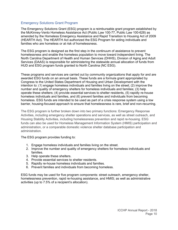#### Emergency Solutions Grant Program

The Emergency Solutions Grant (ESG) program is a reimbursable grant program established by the McKinney-Vento Homeless Assistance Act (Public Law 100-77, Public Law 100-628) as amended by the Homeless Emergency Assistance and Rapid Transition to Housing Act of 2009 (HEARTH Act). The HEARTH Act authorized the ESG Program for aiding individuals and families who are homeless or at risk of homelessness.

The ESG program is designed as the first step in the continuum of assistance to prevent homelessness and enable the homeless population to move toward independent living. The North Carolina Department of Health and Human Services (DHHS), Division of Aging and Adult Services (DAAS) is responsible for administering the statewide annual allocation of funds from HUD and ESG program funds granted to North Carolina (NC ESG).

These programs and services are carried out by community organizations that apply for and are awarded ESG funds on an annual basis. These funds are a formula grant appropriated by Congress to the United States Department of Housing and Urban Development with the intention to: (1) engage homeless individuals and families living on the street; (2) improve the number and quality of emergency shelters for homeless individuals and families; (3) help operate these shelters; (4) provide essential services to shelter residents, (5) rapidly re-house homeless individuals and families, and (6) prevent families and individuals from becoming homeless. ESG funds are intended to be used as part of a crisis response system using a low barrier, housing-focused approach to ensure that homelessness is rare, brief and non-recurring.

The ESG program is further broken down into two primary functions: Emergency Response Activities, including emergency shelter operations and services, as well as street outreach, and Housing Stability Activities, including homelessness prevention and rapid re-housing. ESG funds can also be used for Homeless Management Information System (HMIS) participation and administration, or a comparable domestic violence shelter database participation and administration.

The ESG program provides funding to:

- 1. Engage homeless individuals and families living on the street.
- 2. Improve the number and quality of emergency shelters for homeless individuals and families.
- 3. Help operate these shelters.
- 4. Provide essential services to shelter residents.
- 5. Rapidly re-house homeless individuals and families.
- 6. Prevent families and individuals from becoming homeless.

ESG funds may be used for five program components: street outreach, emergency shelter, homelessness prevention, rapid re-housing assistance, and HMIS; as well as administrative activities (up to 7.5% of a recipient's allocation).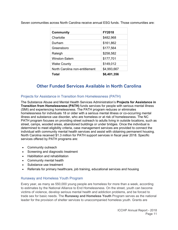| Community                      | <b>FY2018</b> |
|--------------------------------|---------------|
| Charlotte                      | \$482,968     |
| Durham                         | \$161,862     |
| Greensboro                     | \$177,564     |
| Raleigh                        | \$258,582     |
| Winston-Salem                  | \$177,701     |
| <b>Wake County</b>             | \$149,012     |
| North Carolina non-entitlement | \$4,993,667   |
| Total                          | \$6,401,356   |

Seven communities across North Carolina receive annual ESG funds. Those communities are:

# **Other Funded Services Available in North Carolina**

## Projects for Assistance in Transition from Homelessness (PATH)

The Substance Abuse and Mental Health Services Administration's **Projects for Assistance in Transition from Homelessness (PATH)** funds services for people with serious mental illness (SMI) and experiencing homelessness. The PATH program reduces or eliminates homelessness for individuals 18 or older with a serious mental illness or co-occurring mental illness and substance use disorder, who are homeless or at risk of homelessness. The NC PATH program focuses on providing street outreach to adults living in outside locations, such as street, camps, wooded areas, abandoned buildings or under bridges. Once the individual is determined to meet eligibility criteria, case management services are provided to connect the individual with community mental health services and assist with obtaining permanent housing. North Carolina received \$1.3 million for PATH support services in fiscal year 2018. Specific services offered by PATH programs are:

- Community outreach
- Screening and diagnostic treatment
- Habilitation and rehabilitation
- Community mental health
- Substance use treatment
- Referrals for primary healthcare, job training, educational services and housing

## Runaway and Homeless Youth Program

Every year, as many as 550,000 young people are homeless for more than a week, according to estimates by the National Alliance to End Homelessness. On the street, youth can become victims of violence, develop serious mental health and addiction problems, and be forced to trade sex for basic needs. The **Runaway and Homeless Youth** Program serves as the national leader for the provision of shelter services to unaccompanied homeless youth. Grants are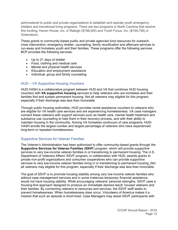administered to public and private organizations to establish and operate youth emergency shelters and transitional living programs. There are two programs in North Carolina that receive this funding; Haven House, Inc. in Raleigh (\$198,000) and Youth Focus, Inc. (\$194,726) in Greensboro.

These grants to community-based public and private agencies fund resources for outreach, crisis intervention, emergency shelter, counseling, family reunification and aftercare services to run-away and homeless youth and their families. These programs offer the following services BCP provides the following services:

- Up to 21 days of shelter
- Food, clothing and medical care
- Mental and physical health services
- **Education and employment assistance**
- Individual, group and family counseling

#### HUD – VA Supportive Housing Vouchers

HUD-VASH is a collaborative program between HUD and VA that combines HUD housing vouchers with **VA supportive housing** services to help veterans who are homeless and their families find and sustain permanent housing. Not all veterans may eligible for this program, especially if their discharge was less than honorable.

Through public housing authorities, HUD provides rental assistance vouchers to veterans who are eligible for VA health care services and are experiencing homelessness. VA case managers connect these veterans with support services such as health care, mental health treatment and substance use counseling to help them in their recovery process, and with their ability to maintain housing in the community. Among VA homeless continuum of care programs, HUD-VASH enrolls the largest number and largest percentage of veterans who have experienced long-term or repeated homelessness.

#### Supportive Services for Veteran Families

The Veteran's Administration has been authorized to offer community-based grants through the **Supportive Services for Veteran Families** (**SSVF**) program, which will provide supportive services to very low-income veteran families in or transitioning to permanent housing. The U.S. Department of Veterans Affairs' SSVF program**,** in collaboration with HUD, awards grants to private non-profit organizations and consumer cooperatives who can provide supportive services to very low-income veteran families living in or transitioning to permanent housing. Not all veterans may eligible for this program, especially if their discharge was less than honorable.

The goal of SSVF is to promote housing stability among very low-income veteran families who without case management services and in some instances temporary financial assistance, would not have housing stability. While encouraging veterans' personal strengths, SSVF uses a housing-first approach designed to produce an immediate desired result: housed veterans and their families. By connecting veterans to resources and services, the SSVF staff seeks to prevent homelessness. When homelessness does occur, Volunteers of America makes it a mission that such an episode is short-lived. Case Managers may assist SSVF participants with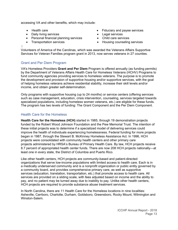accessing VA and other benefits, which may include:

- 
- Daily living services **Legal services Legal services**
- Personal financial planning services Child care services
- 
- Health care **Fiduciary and payee services** 
	-
	-
- Transportation services **Exercise Services** Housing counseling services

 $\mathbf{I}$ 

Volunteers of America of the Carolinas, which was awarded the Veterans Affairs Supportive Services for Veteran Families program grant in 2013, now serves veterans in 27 counties.

#### Grant and Per Diem Program

VA's Homeless Providers **Grant and Per Diem** Program is offered annually (as funding permits) by the Department of Veterans Affairs Health Care for Homeless Veterans (HCHV) Programs to fund community agencies providing services to homeless veterans. The purpose is to promote the development and provision of supportive housing and/or supportive services, with the goal of helping homeless veterans achieve residential stability, increase their skill levels and/or income, and obtain greater self-determination.

Only programs with supportive housing (up to 24 months) or service centers (offering services such as case management, education, crisis intervention, counseling, services targeted towards specialized populations, including homeless women veterans, etc.) are eligible for these funds. The program has two levels of funding: The Grant Component and the Per Diem Component.

#### Health Care for the Homeless

**Health Care for the Homeless (HCH)** started in 1985, through 19 demonstration projects funded by the Robert Wood Johnson Foundation and the Pew Memorial Trust. The intention of these initial projects was to determine if a specialized model of delivering services could improve the health of individuals experiencing homelessness. Federal funding for more projects began in 1987, through the Stewart B. McKinney Homeless Assistance Act. In 1996, HCH projects were consolidated with community health centers and other primary care projects administered by HRSA's Bureau of Primary Health Care. By law, HCH projects receive 8.7 percent of appropriated health center funds. There are now 208 HCH projects nationally—at least one in every state, the District of Columbia and Puerto Rico.

Like other health centers, HCH projects are community-based and patient-directed organizations that serve low-income populations with limited access to health care. Each is in a medically underserved community and is a nonprofit organization or public entity governed by a community board, and provides comprehensive primary care, as well as supportive services (education, translation, transportation, etc.) that promote access to health care. All services are provided on a sliding scale, with fees adjusted based on income and the ability to pay, and no patient may be turned away due to inability to pay. Unlike other health centers, HCH projects are required to provide substance abuse treatment services.

In North Carolina, there are 11 Health Care for the Homeless locations in nine localities: Asheville, Carrboro, Charlotte, Durham, Goldsboro, Greensboro, Rocky Mount, Wilmington and Winston-Salem.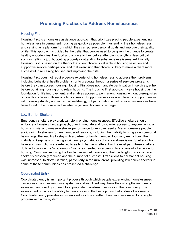## **Promising Practices to Address Homelessness**

#### Housing First

Housing First is a homeless assistance approach that prioritizes placing people experiencing homelessness in permanent housing as quickly as possible, thus ending their homelessness and serving as a platform from which they can pursue personal goals and improve their quality of life. This approach is guided by the belief that people need to be given the chance to create healthy opportunities, like food and a place to live, before attending to anything less critical, such as getting a job, budgeting properly or attending to substance use issues. Additionally, Housing First is based on the theory that client choice is valuable in housing selection and supportive service participation, and that exercising that choice is likely to make a client more successful in remaining housed and improving their life.

Housing First does not require people experiencing homelessness to address their problems, including behavioral health problems, or to graduate through a series of services programs before they can access housing. Housing First does not mandate participation in services, either before obtaining housing or to retain housing. The Housing First approach views housing as the foundation for life improvement, and enables access to permanent housing without prerequisites or conditions beyond those of a typical renter. Supportive services are offered to support people with housing stability and individual well-being, but participation is not required as services have been found to be more effective when a person chooses to engage.

#### Low Barrier Shelters

Emergency shelters play a critical role in ending homelessness. Effective shelters should embrace a Housing First approach, offer immediate and low-barrier access to anyone facing a housing crisis, and measure shelter performance to improve results. Many homeless people avoid going to shelters for any number of reasons, including the inability to bring along personal belongings, the inability to stay with a partner or family member, too many restrictions, the inability to keep pets or having a criminal, psychiatric or substance abuse issue. Shelters who have such restrictions are referred to as high barrier shelters. For the most part, these shelters do little to provide the "wrap-around" services needed for a person to successfully transition to housing. Communities using the low barrier model have found that the length of stay within a shelter is drastically reduced and the number of successful transitions to permanent housing was increased. In North Carolina, particularly in the rural areas, providing low barrier shelters in some of these communities has presented a challenge.

#### Coordinated Entry

Coordinated entry is an important process through which people experiencing homelessness can access the crisis response system in a streamlined way, have their strengths and needs assessed, and quickly connect to appropriate mainstream services in the community. The assessment provides the ability to gain access to the best options that address their needs. Coordinated entry provides individuals with a choice, rather than being evaluated for a single program within the system.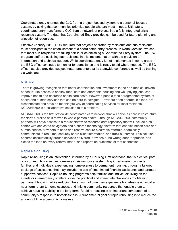Coordinated entry changes the CoC from a project-focused system to a personal-focused system, by asking that communities prioritize people who are most in need. Ultimately, coordinated entry transforms a CoC from a network of projects into a fully-integrated crisis response system. The data that Coordinated Entry provides can be used for future planning and allocation of resources.

Effective January 2018, HUD required that projects operated by recipients and sub-recipients must participate in the establishment of a coordinated entry process. In North Carolina, we see that most sub-recipients are taking part in or establishing a Coordinated Entry system. The ESG program staff are assisting sub-recipients in this implementation with the provision of information and technical support. While coordinated entry is not implemented in some areas the ESG office continues to monitor for compliance and is ready to aid where needed. The ESG office has also provided subject matter presenters at its statewide conference as well as training via webinars.

#### NCCARE360

There is growing recognition that better coordination and investment in the non-medical drivers of health, like access to healthy food, safe and affordable housing and well-paying jobs, can improve health and decrease health care costs. However, people face a fragmented system of health and human services that can be hard to navigate. Providers often operate in siloes, are disconnected and have no meaningful way of coordinating services for local residents. NCCARE360 is a collaborative solution to this problem.

NCCARE360 is the first statewide coordinated care network that will serve as core infrastructure for North Carolina as it moves to whole-person health. Through NCCARE360, community partners will have access to a robust statewide resource data repository that will include a call center with dedicated navigators and a shared technology platform that enables health care and human service providers to send and receive secure electronic referrals, seamlessly communicate in real-time, securely share client information, and track outcomes. This solution ensures accountability around services delivered, provides a "no wrong door" approach, and closes the loop on every referral made, and reports on outcomes of that connection.

#### Rapid Re-housing

Rapid re-housing is an intervention, informed by a Housing First approach, that is a critical part of a community's effective homeless crisis response system. Rapid re-housing connects families and individuals experiencing homelessness to permanent housing, through a tailored package of assistance that may include the use of time-limited financial assistance and targeted supportive services. Rapid re-housing programs help families and individuals living on the streets or in emergency shelters solve the practical and immediate challenges to obtaining permanent housing, while reducing the amount of time they experience homelessness, avoid a near-term return to homelessness, and linking community resources that enable them to achieve housing stability in the long-term. Rapid re-housing is an important component of a community's response to homelessness. A fundamental goal of rapid rehousing is to reduce the amount of time a person is homeless.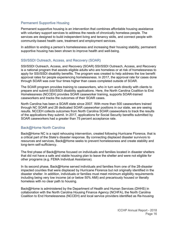#### Permanent Supportive Housing

Permanent supportive housing is an intervention that combines affordable housing assistance with voluntary support services to address the needs of chronically homeless people. The services are designed to build independent living and tenancy skills, and connect people with community-based health care, treatment and employment services.

In addition to ending a person's homelessness and increasing their housing stability, permanent supportive housing has been shown to improve health and well-being.

#### SSI/SSDI Outreach, Access, and Recovery (SOAR)

SSI/SSDI Outreach, Access, and Recovery (SOAR) SSI/SSDI Outreach, Access, and Recovery is a national program that assists eligible adults who are homeless or at risk of homelessness to apply for SSI/SSDI disability benefits. The program was created to help address the low benefit approval rates for people experiencing homelessness. In 2017, the approval rate for cases done through SOAR was over four times higher than cases completed outside of SOAR.

The SOAR program provides training to caseworkers, who in turn work directly with clients to prepare and submit SSI/SSDI disability applications. Here, the North Carolina Coalition to End Homelessness (NCCEH) provides SOAR caseworker training, supports SOAR-trained caseworkers and tracks the outcomes of their SOAR cases.

North Carolina has been a SOAR state since 2007. With more than 500 caseworkers trained through NC SOAR and 28 dedicated SOAR caseworker positions in our state, we are seeing results. NCCEH collects outcomes from North Carolina SOAR caseworkers to track the results of the applications they submit. In 2017, applications for Social Security benefits submitted by SOAR caseworkers had a greater than 75 percent acceptance rate.

#### Back@Home North Carolina

Back@Home NC is a rapid rehousing intervention, created following Hurricane Florence, that is a critical part of the State's disaster response. By connecting displaced disaster survivors to resources and services, Back@Home seeks to prevent homelessness and create stability and long-term self-sufficiency.

The first phase of Back@Home focused on individuals and families located in disaster shelters that did not have a safe and stable housing plan to leave the shelter and were not eligible for other programs (e.g. FEMA Individual Assistance).

In its second phase, Back@Home served individuals and families from one of the 28-disaster impacted counties that were displaced by Hurricane Florence but not originally identified in the disaster shelter. In addition, individuals or families must meet minimum eligibility requirements including being very low income (at or below 50% AMI) and precariously housed or literally homeless with no clear path to housing.

Back@Home is administered by the Department of Health and Human Services (DHHS) in collaboration with the North Carolina Housing Finance Agency (NCHFA), the North Carolina Coalition to End Homelessness (NCCEH) and local service providers identified as Re-housing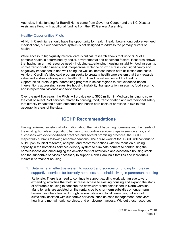Agencies. Initial funding for Back@Home came from Governor Cooper and the NC Disaster Assistance Fund with additional funding from the NC General Assembly.

#### Healthy Opportunities Pilots

All North Carolinians should have the opportunity for health. Health begins long before we need medical care, but our healthcare system is not designed to address the primary drivers of health.

While access to high-quality medical care is critical, research shows that up to 80% of a person's health is determined by social, environmental and behaviors factors. Research shows that having an unmet resource need - including experiencing housing instability, food insecurity, unmet transportation needs, and interpersonal violence or toxic stress - can significantly and negatively impact health and well-being, as well as increase health care utilization and costs. As North Carolina's Medicaid program seeks to create a health care system that truly rewards value and address whole-person health, North Carolina will implement the Healthy Opportunities Pilots, a groundbreaking program in select regions to pilot evidence-based interventions addressing issues like housing instability, transportation insecurity, food security, and interpersonal violence and toxic stress.

Over the next five years, the Pilots will provide up to \$650 million in Medicaid funding to cover the cost of select Pilot services related to housing, food, transportation and interpersonal safety that directly impact the health outcomes and health care costs of enrollees in two to four geographic areas of the state.

## **ICCHP Recommendations**

Having reviewed substantial information about the risk of becoming homeless and the needs of the existing homeless population, barriers to supportive services, gaps in service array, and successes with evidence-based practices and several promising practices, the ICCHP respectfully submits following recommendations. The future work of the ICCHP will continue to build upon its initial research, analysis, and recommendations with the focus on building capacity in the homeless services delivery system to eliminate barriers to contributing the homelessness and encouraging the development of affordable and accessible housing stock and the supportive services necessary to support North Carolina's families and individuals maintain permanent housing.

#### 1. Determine an effective system to support and sources of funding to increase supportive services for formerly homeless households living in permanent housing

Rationale: There is a need to continue to support existing work with an eye toward expanding activities that both increase access to existing housing and expand the stock of affordable housing to continue the downward trend established in North Carolina. Many tenants are assisted on the rental side by short-term subsidies or longer-term housing vouchers funded through federal, state and local resources, but are not sufficiently assisted with supportive services, such as case management, behavioral health and mental health services, and employment access. Without these resources,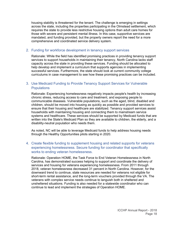housing stability is threatened for the tenant. The challenge is emerging in settings across the state, including the properties participating in the Olmstead settlement, which requires the state to provide less restrictive housing options than adult care homes for those with severe and persistent mental illness. In this case, supportive services are mandated, and funding provided, but the property owners report the need for a more comprehensive and coordinated service delivery system.

#### 2. Funding for workforce development in tenancy support services

Rationale: While the field has identified promising practices in providing tenancy support services to support households in maintaining their tenancy, North Carolina lacks staff capacity across the state in providing these services. Funding should be allocated to help develop and implement a curriculum that supports agencies in implementing successful services. Furthermore, the state should look at current community college curriculums in case management to see how these promising practices can be included.

#### 3. Use Medicaid Funding to Provide Tenancy Support Services for Vulnerable **Populations**

Rationale: Experiencing homelessness negatively impacts people's health by increasing chronic stress, reducing access to care and treatment, and exposing people to communicable diseases. Vulnerable populations, such as the aged, blind, disabled and children, should be moved into housing as quickly as possible and provided services to ensure that their housing and healthcare are stabilized. Tenancy support services assist households with maintaining housing and connecting them to mainstream service systems and healthcare. These services should be supported by Medicaid funds that are written into the State's Medicaid Plan so they are available to children, the elderly, and a disability-neutral population who needs them.

As noted, NC will be able to leverage Medicaid funds to help address housing needs through the Healthy Opportunities pilots starting in 2020.

4. Create flexible funding to supplement housing and related supports for veterans experiencing homelessness. Secure funding for coordinator that specifically works to ending veteran homelessness.

Rationale: Operation HOME, the Task Force to End Veteran Homelessness in North Carolina, has demonstrated success helping to support and coordinate the delivery of services and housing for veterans experiencing homelessness. From 2011 through 2018, veteran homelessness decreased 31 percent in North Carolina. However, for the downward trend to continue, state resources are needed for veterans not eligible for short-term rental assistance, and the long-term vouchers provided through the VA. The veterans with complex service needs continue to languish both in sheltered and unsheltered situations. Funding is also needed for a statewide coordinator who can continue to lead and implement the strategies of Operation HOME.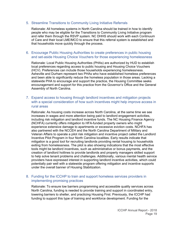#### 5. Streamline Transitions to Community Living Initiative Referrals

Rationale: All homeless systems in North Carolina should be trained in how to identify people who may be eligible for the Transitions to Community Living Initiative program and refer them through the RSVP system. NC DHHS should work with each Continuum of Care and their local LME/MCO to ensure that this referral system is established and that households move quickly through the process.

#### 6. Encourage Public Housing Authorities to create preferences in public housing and set-aside Housing Choice Vouchers for those experiencing homelessness

Rationale: Local Public Housing Authorities (PHAs) are authorized by HUD to establish local preferences regarding access to public housing and Housing Choice Vouchers (HCV). Preferences can include those households experiencing homelessness. Asheville and Durham represent two PHAs who have established homeless preferences and been able to significantly reduce the homeless population in those areas. Lacking a statewide PHA to encourage and support the practice, the Housing Committee seeks encouragement and support for this practice from the Governor's Office and the General Assembly of North Carolina.

#### 7. Expand access to housing through landlord incentives and mitigation projects with a special consideration of how such incentives might help improve access in rural areas

Rationale: As housing costs increase across North Carolina, at the same time we see increases in wages and more attention being paid to landlord engagement activities, including risk mitigation and landlord incentive funds. The NC Housing Finance Agency (NCHFA) currently offers mitigation to HFA-funded property owners who might experience extensive damage to apartments or excessive eviction costs. NCHFA has also partnered with the NCCEH and the North Carolina Department of Military and Veteran Affairs to operate a pilot risk mitigation and incentive project called the Landlord Incentive Pilot Program in four North Carolina localities. Early results indicate that mitigation is a good tool for recruiting landlords providing rental housing to households exiting from homelessness. The pilot is also showing indications that the most effective tools might be landlord incentives, such as administrative or bonus payments, and the creation of landlord hotlines to provide landlords and property managers skilled support to help solve tenant problems and challenges. Additionally, various mental health service providers have expressed interest in supporting landlord incentive activities, which could potentially pair well with a statewide program offering mitigation and incentive supports under the overall banner of Housing Stabilization.

#### 8. Funding for the ICCHP to train and support homeless services providers in implementing promising practices

Rationale: To ensure low barriers programming and accessible quality services across North Carolina, funding is needed to provide training and support in coordinated entry, lowering barriers to shelter, and practicing Housing First. Previously, the ICCHP had funding to support this type of training and workforce development. Funding for the